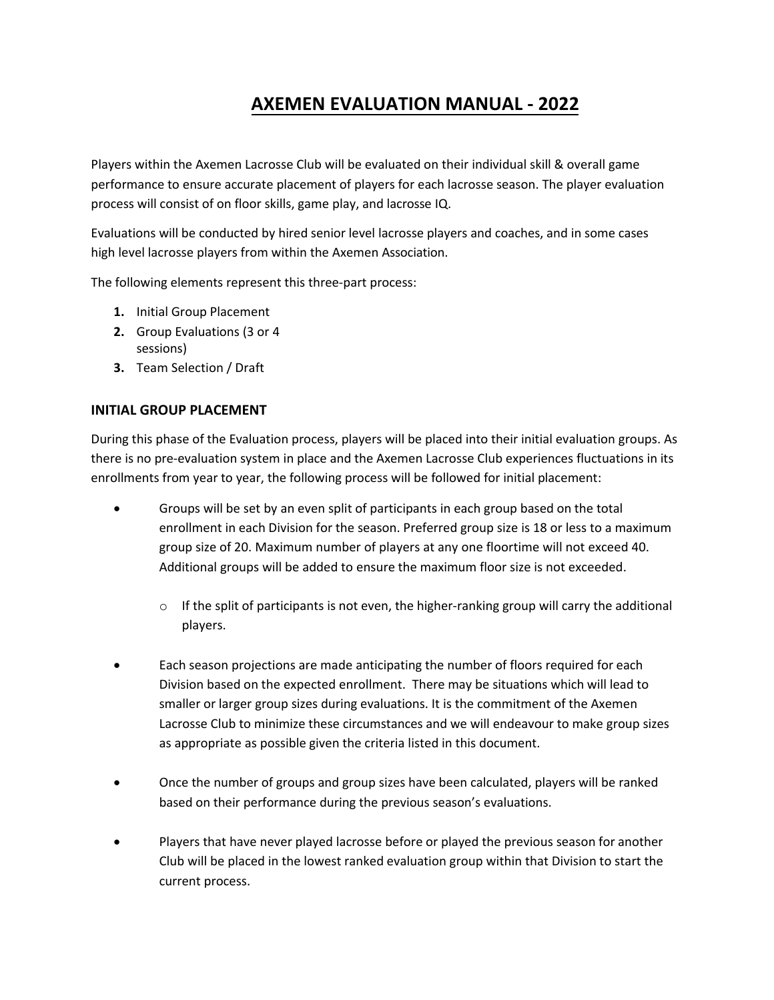# **AXEMEN EVALUATION MANUAL - 2022**

Players within the Axemen Lacrosse Club will be evaluated on their individual skill & overall game performance to ensure accurate placement of players for each lacrosse season. The player evaluation process will consist of on floor skills, game play, and lacrosse IQ.

Evaluations will be conducted by hired senior level lacrosse players and coaches, and in some cases high level lacrosse players from within the Axemen Association.

The following elements represent this three-part process:

- **1.** Initial Group Placement
- **2.** Group Evaluations (3 or 4 sessions)
- **3.** Team Selection / Draft

# **INITIAL GROUP PLACEMENT**

During this phase of the Evaluation process, players will be placed into their initial evaluation groups. As there is no pre-evaluation system in place and the Axemen Lacrosse Club experiences fluctuations in its enrollments from year to year, the following process will be followed for initial placement:

- Groups will be set by an even split of participants in each group based on the total enrollment in each Division for the season. Preferred group size is 18 or less to a maximum group size of 20. Maximum number of players at any one floortime will not exceed 40. Additional groups will be added to ensure the maximum floor size is not exceeded.
	- $\circ$  If the split of participants is not even, the higher-ranking group will carry the additional players.
- Each season projections are made anticipating the number of floors required for each Division based on the expected enrollment. There may be situations which will lead to smaller or larger group sizes during evaluations. It is the commitment of the Axemen Lacrosse Club to minimize these circumstances and we will endeavour to make group sizes as appropriate as possible given the criteria listed in this document.
- Once the number of groups and group sizes have been calculated, players will be ranked based on their performance during the previous season's evaluations.
- Players that have never played lacrosse before or played the previous season for another Club will be placed in the lowest ranked evaluation group within that Division to start the current process.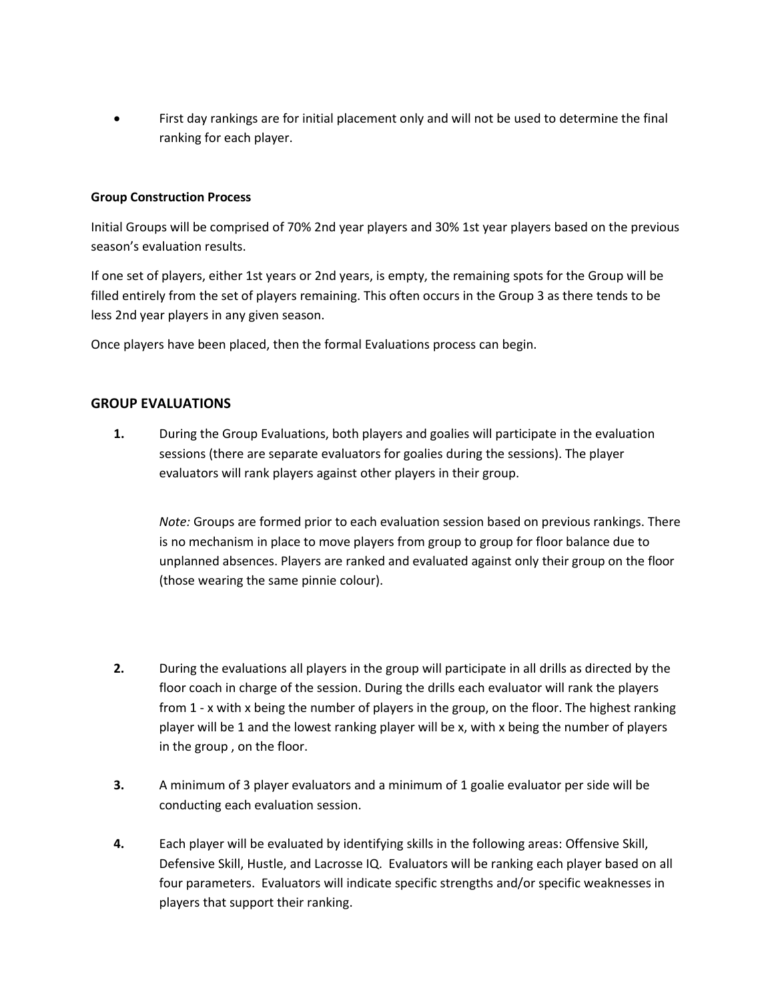• First day rankings are for initial placement only and will not be used to determine the final ranking for each player.

### **Group Construction Process**

Initial Groups will be comprised of 70% 2nd year players and 30% 1st year players based on the previous season's evaluation results.

If one set of players, either 1st years or 2nd years, is empty, the remaining spots for the Group will be filled entirely from the set of players remaining. This often occurs in the Group 3 as there tends to be less 2nd year players in any given season.

Once players have been placed, then the formal Evaluations process can begin.

# **GROUP EVALUATIONS**

**1.** During the Group Evaluations, both players and goalies will participate in the evaluation sessions (there are separate evaluators for goalies during the sessions). The player evaluators will rank players against other players in their group.

*Note:* Groups are formed prior to each evaluation session based on previous rankings. There is no mechanism in place to move players from group to group for floor balance due to unplanned absences. Players are ranked and evaluated against only their group on the floor (those wearing the same pinnie colour).

- **2.** During the evaluations all players in the group will participate in all drills as directed by the floor coach in charge of the session. During the drills each evaluator will rank the players from 1 - x with x being the number of players in the group, on the floor. The highest ranking player will be 1 and the lowest ranking player will be x, with x being the number of players in the group , on the floor.
- **3.** A minimum of 3 player evaluators and a minimum of 1 goalie evaluator per side will be conducting each evaluation session.
- **4.** Each player will be evaluated by identifying skills in the following areas: Offensive Skill, Defensive Skill, Hustle, and Lacrosse IQ. Evaluators will be ranking each player based on all four parameters. Evaluators will indicate specific strengths and/or specific weaknesses in players that support their ranking.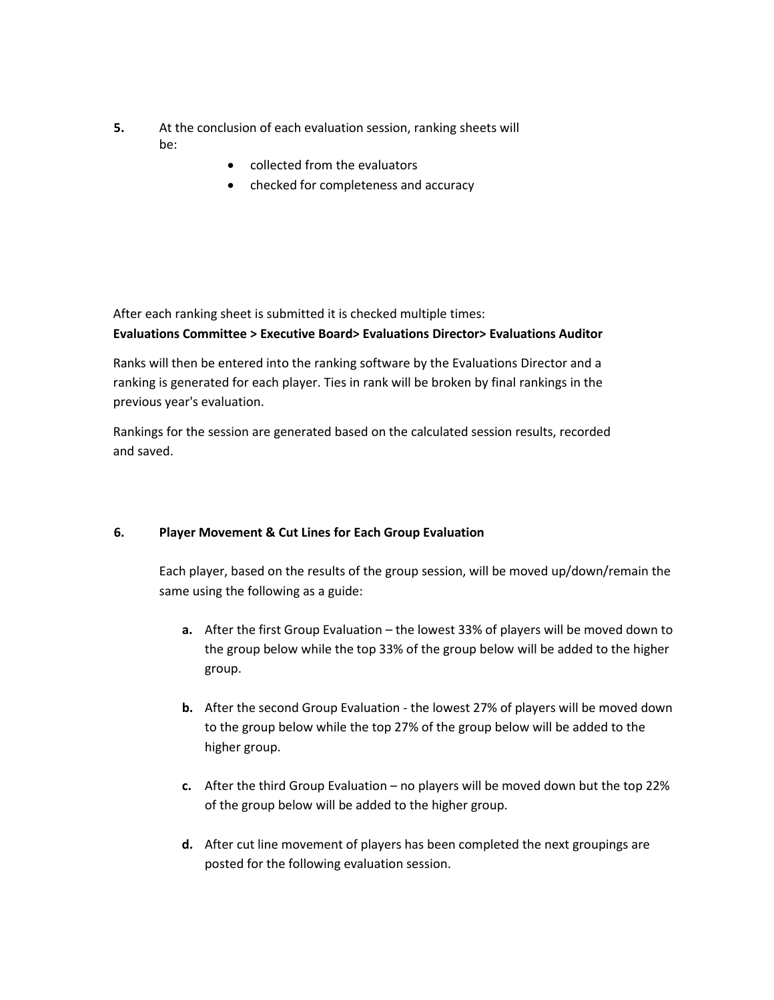- **5.** At the conclusion of each evaluation session, ranking sheets will be:
	- collected from the evaluators
	- checked for completeness and accuracy

After each ranking sheet is submitted it is checked multiple times:

# **Evaluations Committee > Executive Board> Evaluations Director> Evaluations Auditor**

Ranks will then be entered into the ranking software by the Evaluations Director and a ranking is generated for each player. Ties in rank will be broken by final rankings in the previous year's evaluation.

Rankings for the session are generated based on the calculated session results, recorded and saved.

# **6. Player Movement & Cut Lines for Each Group Evaluation**

Each player, based on the results of the group session, will be moved up/down/remain the same using the following as a guide:

- **a.** After the first Group Evaluation the lowest 33% of players will be moved down to the group below while the top 33% of the group below will be added to the higher group.
- **b.** After the second Group Evaluation the lowest 27% of players will be moved down to the group below while the top 27% of the group below will be added to the higher group.
- **c.** After the third Group Evaluation no players will be moved down but the top 22% of the group below will be added to the higher group.
- **d.** After cut line movement of players has been completed the next groupings are posted for the following evaluation session.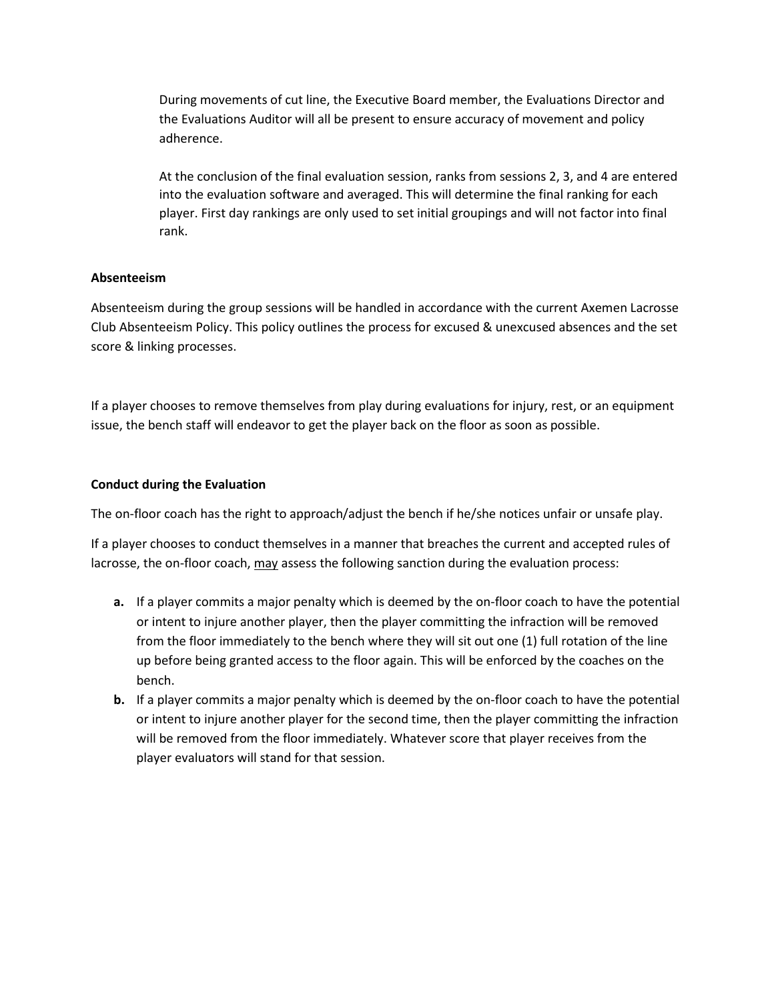During movements of cut line, the Executive Board member, the Evaluations Director and the Evaluations Auditor will all be present to ensure accuracy of movement and policy adherence.

At the conclusion of the final evaluation session, ranks from sessions 2, 3, and 4 are entered into the evaluation software and averaged. This will determine the final ranking for each player. First day rankings are only used to set initial groupings and will not factor into final rank.

### **Absenteeism**

Absenteeism during the group sessions will be handled in accordance with the current Axemen Lacrosse Club Absenteeism Policy. This policy outlines the process for excused & unexcused absences and the set score & linking processes.

If a player chooses to remove themselves from play during evaluations for injury, rest, or an equipment issue, the bench staff will endeavor to get the player back on the floor as soon as possible.

#### **Conduct during the Evaluation**

The on-floor coach has the right to approach/adjust the bench if he/she notices unfair or unsafe play.

If a player chooses to conduct themselves in a manner that breaches the current and accepted rules of lacrosse, the on-floor coach, may assess the following sanction during the evaluation process:

- **a.** If a player commits a major penalty which is deemed by the on-floor coach to have the potential or intent to injure another player, then the player committing the infraction will be removed from the floor immediately to the bench where they will sit out one (1) full rotation of the line up before being granted access to the floor again. This will be enforced by the coaches on the bench.
- **b.** If a player commits a major penalty which is deemed by the on-floor coach to have the potential or intent to injure another player for the second time, then the player committing the infraction will be removed from the floor immediately. Whatever score that player receives from the player evaluators will stand for that session.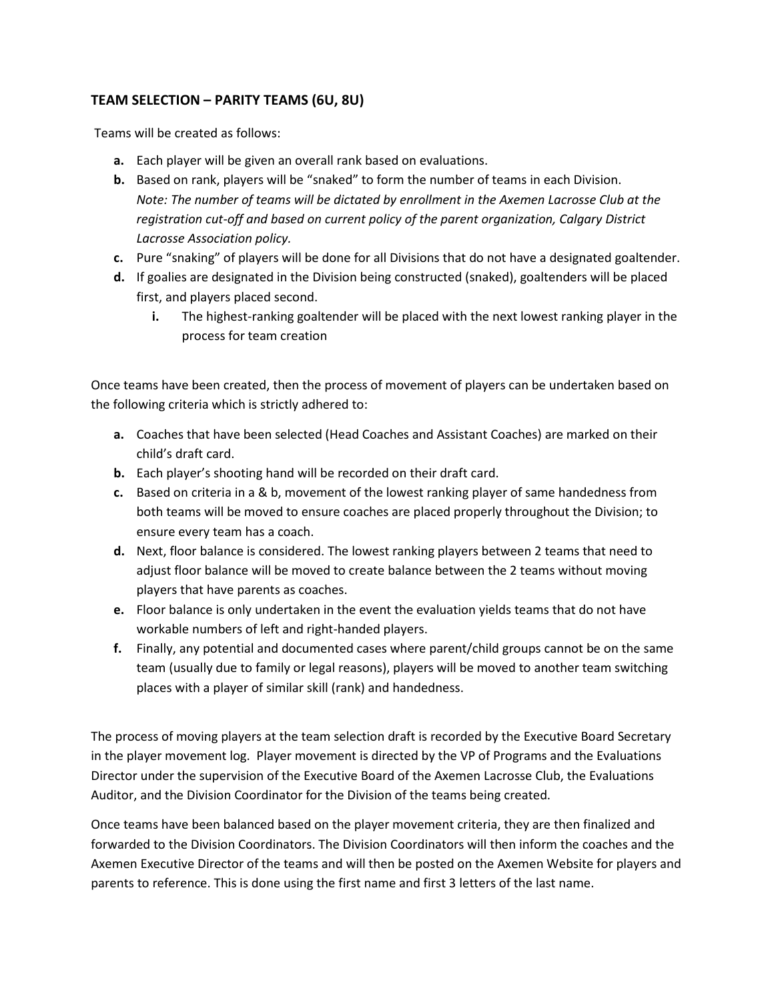# **TEAM SELECTION – PARITY TEAMS (6U, 8U)**

Teams will be created as follows:

- **a.** Each player will be given an overall rank based on evaluations.
- **b.** Based on rank, players will be "snaked" to form the number of teams in each Division. *Note: The number of teams will be dictated by enrollment in the Axemen Lacrosse Club at the registration cut-off and based on current policy of the parent organization, Calgary District Lacrosse Association policy.*
- **c.** Pure "snaking" of players will be done for all Divisions that do not have a designated goaltender.
- **d.** If goalies are designated in the Division being constructed (snaked), goaltenders will be placed first, and players placed second.
	- **i.** The highest-ranking goaltender will be placed with the next lowest ranking player in the process for team creation

Once teams have been created, then the process of movement of players can be undertaken based on the following criteria which is strictly adhered to:

- **a.** Coaches that have been selected (Head Coaches and Assistant Coaches) are marked on their child's draft card.
- **b.** Each player's shooting hand will be recorded on their draft card.
- **c.** Based on criteria in a & b, movement of the lowest ranking player of same handedness from both teams will be moved to ensure coaches are placed properly throughout the Division; to ensure every team has a coach.
- **d.** Next, floor balance is considered. The lowest ranking players between 2 teams that need to adjust floor balance will be moved to create balance between the 2 teams without moving players that have parents as coaches.
- **e.** Floor balance is only undertaken in the event the evaluation yields teams that do not have workable numbers of left and right-handed players.
- **f.** Finally, any potential and documented cases where parent/child groups cannot be on the same team (usually due to family or legal reasons), players will be moved to another team switching places with a player of similar skill (rank) and handedness.

The process of moving players at the team selection draft is recorded by the Executive Board Secretary in the player movement log. Player movement is directed by the VP of Programs and the Evaluations Director under the supervision of the Executive Board of the Axemen Lacrosse Club, the Evaluations Auditor, and the Division Coordinator for the Division of the teams being created.

Once teams have been balanced based on the player movement criteria, they are then finalized and forwarded to the Division Coordinators. The Division Coordinators will then inform the coaches and the Axemen Executive Director of the teams and will then be posted on the Axemen Website for players and parents to reference. This is done using the first name and first 3 letters of the last name.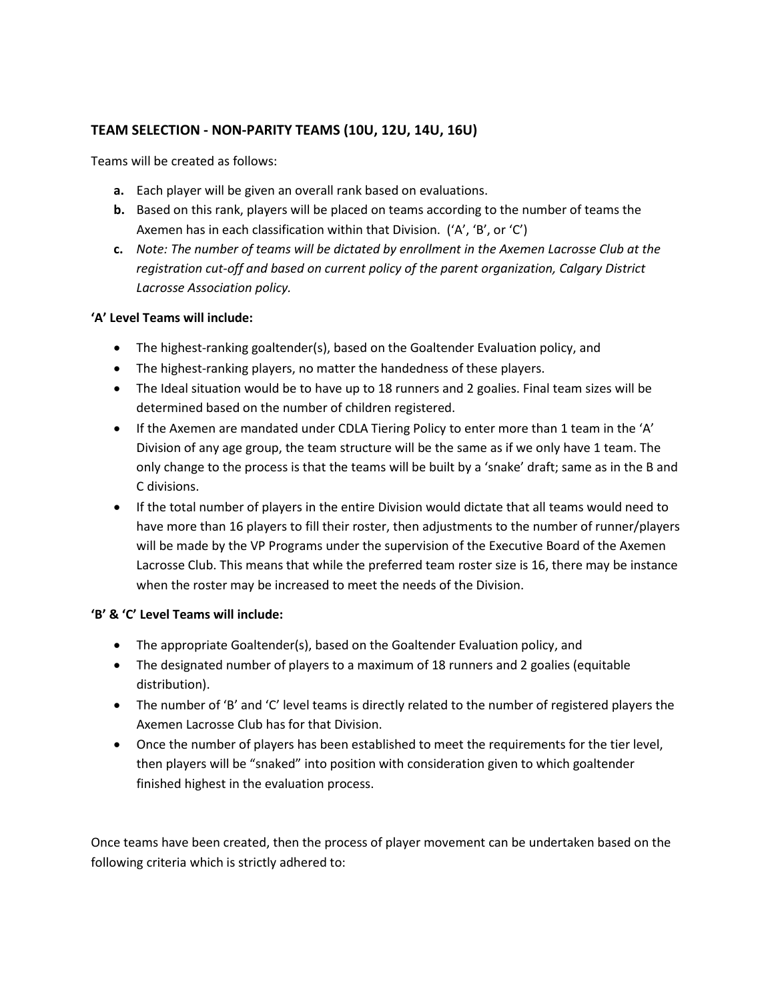# **TEAM SELECTION - NON-PARITY TEAMS (10U, 12U, 14U, 16U)**

Teams will be created as follows:

- **a.** Each player will be given an overall rank based on evaluations.
- **b.** Based on this rank, players will be placed on teams according to the number of teams the Axemen has in each classification within that Division. ('A', 'B', or 'C')
- **c.** *Note: The number of teams will be dictated by enrollment in the Axemen Lacrosse Club at the registration cut-off and based on current policy of the parent organization, Calgary District Lacrosse Association policy.*

### **'A' Level Teams will include:**

- The highest-ranking goaltender(s), based on the Goaltender Evaluation policy, and
- The highest-ranking players, no matter the handedness of these players.
- The Ideal situation would be to have up to 18 runners and 2 goalies. Final team sizes will be determined based on the number of children registered.
- If the Axemen are mandated under CDLA Tiering Policy to enter more than 1 team in the 'A' Division of any age group, the team structure will be the same as if we only have 1 team. The only change to the process is that the teams will be built by a 'snake' draft; same as in the B and C divisions.
- If the total number of players in the entire Division would dictate that all teams would need to have more than 16 players to fill their roster, then adjustments to the number of runner/players will be made by the VP Programs under the supervision of the Executive Board of the Axemen Lacrosse Club. This means that while the preferred team roster size is 16, there may be instance when the roster may be increased to meet the needs of the Division.

# **'B' & 'C' Level Teams will include:**

- The appropriate Goaltender(s), based on the Goaltender Evaluation policy, and
- The designated number of players to a maximum of 18 runners and 2 goalies (equitable distribution).
- The number of 'B' and 'C' level teams is directly related to the number of registered players the Axemen Lacrosse Club has for that Division.
- Once the number of players has been established to meet the requirements for the tier level, then players will be "snaked" into position with consideration given to which goaltender finished highest in the evaluation process.

Once teams have been created, then the process of player movement can be undertaken based on the following criteria which is strictly adhered to: